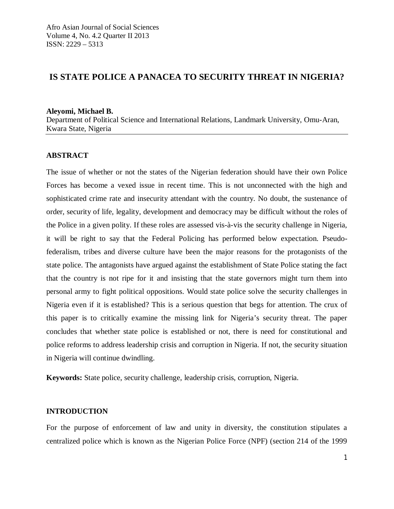# **IS STATE POLICE A PANACEA TO SECURITY THREAT IN NIGERIA?**

**Aleyomi, Michael B.** Department of Political Science and International Relations, Landmark University, Omu-Aran, Kwara State, Nigeria

## **ABSTRACT**

The issue of whether or not the states of the Nigerian federation should have their own Police Forces has become a vexed issue in recent time. This is not unconnected with the high and sophisticated crime rate and insecurity attendant with the country. No doubt, the sustenance of order, security of life, legality, development and democracy may be difficult without the roles of the Police in a given polity. If these roles are assessed vis-à-vis the security challenge in Nigeria, it will be right to say that the Federal Policing has performed below expectation. Pseudofederalism, tribes and diverse culture have been the major reasons for the protagonists of the state police. The antagonists have argued against the establishment of State Police stating the fact that the country is not ripe for it and insisting that the state governors might turn them into personal army to fight political oppositions. Would state police solve the security challenges in Nigeria even if it is established? This is a serious question that begs for attention. The crux of this paper is to critically examine the missing link for Nigeria's security threat. The paper concludes that whether state police is established or not, there is need for constitutional and police reforms to address leadership crisis and corruption in Nigeria. If not, the security situation in Nigeria will continue dwindling.

**Keywords:** State police, security challenge, leadership crisis, corruption, Nigeria.

#### **INTRODUCTION**

For the purpose of enforcement of law and unity in diversity, the constitution stipulates a centralized police which is known as the Nigerian Police Force (NPF) (section 214 of the 1999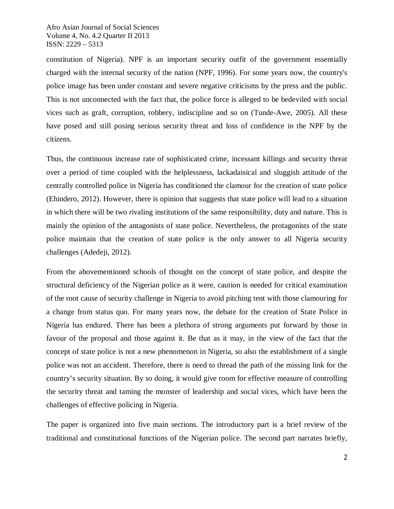constitution of Nigeria). NPF is an important security outfit of the government essentially charged with the internal security of the nation (NPF, 1996). For some years now, the country's police image has been under constant and severe negative criticisms by the press and the public. This is not unconnected with the fact that, the police force is alleged to be bedeviled with social vices such as graft, corruption, robbery, indiscipline and so on (Tunde-Awe, 2005). All these have posed and still posing serious security threat and loss of confidence in the NPF by the citizens.

Thus, the continuous increase rate of sophisticated crime, incessant killings and security threat over a period of time coupled with the helplessness, lackadaisical and sluggish attitude of the centrally controlled police in Nigeria has conditioned the clamour for the creation of state police (Ehindero, 2012). However, there is opinion that suggests that state police will lead to a situation in which there will be two rivaling institutions of the same responsibility, duty and nature. This is mainly the opinion of the antagonists of state police. Nevertheless, the protagonists of the state police maintain that the creation of state police is the only answer to all Nigeria security challenges (Adedeji, 2012).

From the abovementioned schools of thought on the concept of state police, and despite the structural deficiency of the Nigerian police as it were, caution is needed for critical examination of the root cause of security challenge in Nigeria to avoid pitching tent with those clamouring for a change from status quo. For many years now, the debate for the creation of State Police in Nigeria has endured. There has been a plethora of strong arguments put forward by those in favour of the proposal and those against it. Be that as it may, in the view of the fact that the concept of state police is not a new phenomenon in Nigeria, so also the establishment of a single police was not an accident. Therefore, there is need to thread the path of the missing link for the country's security situation. By so doing, it would give room for effective measure of controlling the security threat and taming the monster of leadership and social vices, which have been the challenges of effective policing in Nigeria.

The paper is organized into five main sections. The introductory part is a brief review of the traditional and constitutional functions of the Nigerian police. The second part narrates briefly,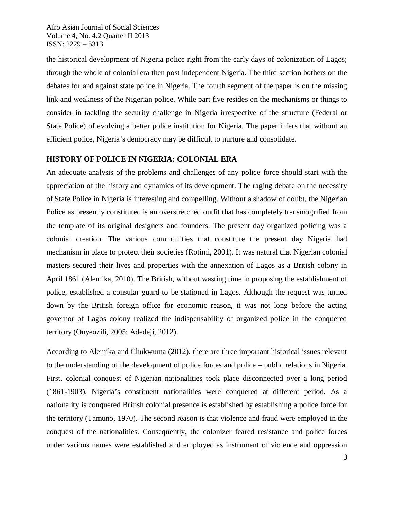the historical development of Nigeria police right from the early days of colonization of Lagos; through the whole of colonial era then post independent Nigeria. The third section bothers on the debates for and against state police in Nigeria. The fourth segment of the paper is on the missing link and weakness of the Nigerian police. While part five resides on the mechanisms or things to consider in tackling the security challenge in Nigeria irrespective of the structure (Federal or State Police) of evolving a better police institution for Nigeria. The paper infers that without an efficient police, Nigeria's democracy may be difficult to nurture and consolidate.

## **HISTORY OF POLICE IN NIGERIA: COLONIAL ERA**

An adequate analysis of the problems and challenges of any police force should start with the appreciation of the history and dynamics of its development. The raging debate on the necessity of State Police in Nigeria is interesting and compelling. Without a shadow of doubt, the Nigerian Police as presently constituted is an overstretched outfit that has completely transmogrified from the template of its original designers and founders. The present day organized policing was a colonial creation. The various communities that constitute the present day Nigeria had mechanism in place to protect their societies (Rotimi, 2001). It was natural that Nigerian colonial masters secured their lives and properties with the annexation of Lagos as a British colony in April 1861 (Alemika, 2010). The British, without wasting time in proposing the establishment of police, established a consular guard to be stationed in Lagos. Although the request was turned down by the British foreign office for economic reason, it was not long before the acting governor of Lagos colony realized the indispensability of organized police in the conquered territory (Onyeozili, 2005; Adedeji, 2012).

According to Alemika and Chukwuma (2012), there are three important historical issues relevant to the understanding of the development of police forces and police – public relations in Nigeria. First, colonial conquest of Nigerian nationalities took place disconnected over a long period (1861-1903). Nigeria's constituent nationalities were conquered at different period. As a nationality is conquered British colonial presence is established by establishing a police force for the territory (Tamuno, 1970). The second reason is that violence and fraud were employed in the conquest of the nationalities. Consequently, the colonizer feared resistance and police forces under various names were established and employed as instrument of violence and oppression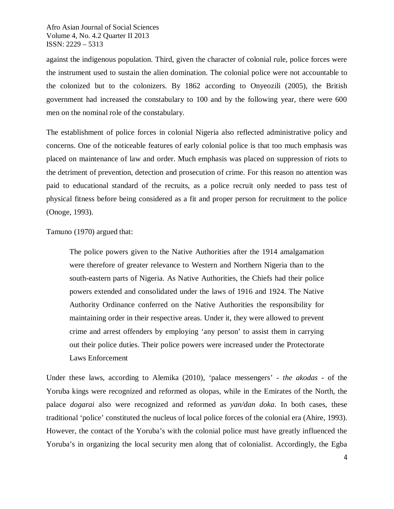against the indigenous population. Third, given the character of colonial rule, police forces were the instrument used to sustain the alien domination. The colonial police were not accountable to the colonized but to the colonizers. By 1862 according to Onyeozili (2005), the British government had increased the constabulary to 100 and by the following year, there were 600 men on the nominal role of the constabulary.

The establishment of police forces in colonial Nigeria also reflected administrative policy and concerns. One of the noticeable features of early colonial police is that too much emphasis was placed on maintenance of law and order. Much emphasis was placed on suppression of riots to the detriment of prevention, detection and prosecution of crime. For this reason no attention was paid to educational standard of the recruits, as a police recruit only needed to pass test of physical fitness before being considered as a fit and proper person for recruitment to the police (Onoge, 1993).

Tamuno (1970) argued that:

The police powers given to the Native Authorities after the 1914 amalgamation were therefore of greater relevance to Western and Northern Nigeria than to the south-eastern parts of Nigeria. As Native Authorities, the Chiefs had their police powers extended and consolidated under the laws of 1916 and 1924. The Native Authority Ordinance conferred on the Native Authorities the responsibility for maintaining order in their respective areas. Under it, they were allowed to prevent crime and arrest offenders by employing 'any person' to assist them in carrying out their police duties. Their police powers were increased under the Protectorate Laws Enforcement

Under these laws, according to Alemika (2010), 'palace messengers' - *the akodas* - of the Yoruba kings were recognized and reformed as olopas, while in the Emirates of the North, the palace *dogarai* also were recognized and reformed as *yan/dan doka*. In both cases, these traditional 'police' constituted the nucleus of local police forces of the colonial era (Ahire, 1993). However, the contact of the Yoruba's with the colonial police must have greatly influenced the Yoruba's in organizing the local security men along that of colonialist. Accordingly, the Egba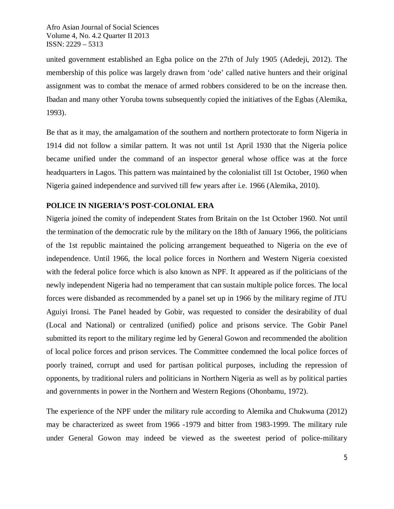united government established an Egba police on the 27th of July 1905 (Adedeji, 2012). The membership of this police was largely drawn from 'ode' called native hunters and their original assignment was to combat the menace of armed robbers considered to be on the increase then. Ibadan and many other Yoruba towns subsequently copied the initiatives of the Egbas (Alemika, 1993).

Be that as it may, the amalgamation of the southern and northern protectorate to form Nigeria in 1914 did not follow a similar pattern. It was not until 1st April 1930 that the Nigeria police became unified under the command of an inspector general whose office was at the force headquarters in Lagos. This pattern was maintained by the colonialist till 1st October, 1960 when Nigeria gained independence and survived till few years after i.e. 1966 (Alemika, 2010).

## **POLICE IN NIGERIA'S POST-COLONIAL ERA**

Nigeria joined the comity of independent States from Britain on the 1st October 1960. Not until the termination of the democratic rule by the military on the 18th of January 1966, the politicians of the 1st republic maintained the policing arrangement bequeathed to Nigeria on the eve of independence. Until 1966, the local police forces in Northern and Western Nigeria coexisted with the federal police force which is also known as NPF. It appeared as if the politicians of the newly independent Nigeria had no temperament that can sustain multiple police forces. The local forces were disbanded as recommended by a panel set up in 1966 by the military regime of JTU Aguiyi Ironsi. The Panel headed by Gobir, was requested to consider the desirability of dual (Local and National) or centralized (unified) police and prisons service. The Gobir Panel submitted its report to the military regime led by General Gowon and recommended the abolition of local police forces and prison services. The Committee condemned the local police forces of poorly trained, corrupt and used for partisan political purposes, including the repression of opponents, by traditional rulers and politicians in Northern Nigeria as well as by political parties and governments in power in the Northern and Western Regions (Ohonbamu, 1972).

The experience of the NPF under the military rule according to Alemika and Chukwuma (2012) may be characterized as sweet from 1966 -1979 and bitter from 1983-1999. The military rule under General Gowon may indeed be viewed as the sweetest period of police-military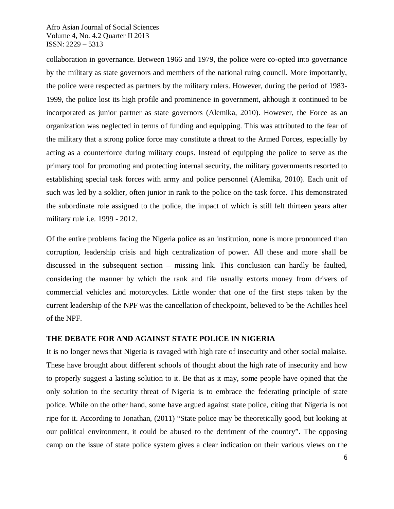collaboration in governance. Between 1966 and 1979, the police were co-opted into governance by the military as state governors and members of the national ruing council. More importantly, the police were respected as partners by the military rulers. However, during the period of 1983- 1999, the police lost its high profile and prominence in government, although it continued to be incorporated as junior partner as state governors (Alemika, 2010). However, the Force as an organization was neglected in terms of funding and equipping. This was attributed to the fear of the military that a strong police force may constitute a threat to the Armed Forces, especially by acting as a counterforce during military coups. Instead of equipping the police to serve as the primary tool for promoting and protecting internal security, the military governments resorted to establishing special task forces with army and police personnel (Alemika, 2010). Each unit of such was led by a soldier, often junior in rank to the police on the task force. This demonstrated the subordinate role assigned to the police, the impact of which is still felt thirteen years after military rule i.e. 1999 - 2012.

Of the entire problems facing the Nigeria police as an institution, none is more pronounced than corruption, leadership crisis and high centralization of power. All these and more shall be discussed in the subsequent section – missing link. This conclusion can hardly be faulted, considering the manner by which the rank and file usually extorts money from drivers of commercial vehicles and motorcycles. Little wonder that one of the first steps taken by the current leadership of the NPF was the cancellation of checkpoint, believed to be the Achilles heel of the NPF.

#### **THE DEBATE FOR AND AGAINST STATE POLICE IN NIGERIA**

It is no longer news that Nigeria is ravaged with high rate of insecurity and other social malaise. These have brought about different schools of thought about the high rate of insecurity and how to properly suggest a lasting solution to it. Be that as it may, some people have opined that the only solution to the security threat of Nigeria is to embrace the federating principle of state police. While on the other hand, some have argued against state police, citing that Nigeria is not ripe for it. According to Jonathan, (2011) "State police may be theoretically good, but looking at our political environment, it could be abused to the detriment of the country". The opposing camp on the issue of state police system gives a clear indication on their various views on the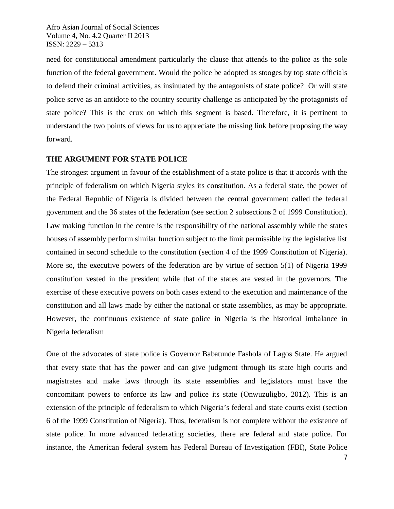need for constitutional amendment particularly the clause that attends to the police as the sole function of the federal government. Would the police be adopted as stooges by top state officials to defend their criminal activities, as insinuated by the antagonists of state police? Or will state police serve as an antidote to the country security challenge as anticipated by the protagonists of state police? This is the crux on which this segment is based. Therefore, it is pertinent to understand the two points of views for us to appreciate the missing link before proposing the way forward.

## **THE ARGUMENT FOR STATE POLICE**

The strongest argument in favour of the establishment of a state police is that it accords with the principle of federalism on which Nigeria styles its constitution. As a federal state, the power of the Federal Republic of Nigeria is divided between the central government called the federal government and the 36 states of the federation (see section 2 subsections 2 of 1999 Constitution). Law making function in the centre is the responsibility of the national assembly while the states houses of assembly perform similar function subject to the limit permissible by the legislative list contained in second schedule to the constitution (section 4 of the 1999 Constitution of Nigeria). More so, the executive powers of the federation are by virtue of section 5(1) of Nigeria 1999 constitution vested in the president while that of the states are vested in the governors. The exercise of these executive powers on both cases extend to the execution and maintenance of the constitution and all laws made by either the national or state assemblies, as may be appropriate. However, the continuous existence of state police in Nigeria is the historical imbalance in Nigeria federalism

One of the advocates of state police is Governor Babatunde Fashola of Lagos State. He argued that every state that has the power and can give judgment through its state high courts and magistrates and make laws through its state assemblies and legislators must have the concomitant powers to enforce its law and police its state (Onwuzuligbo, 2012). This is an extension of the principle of federalism to which Nigeria's federal and state courts exist (section 6 of the 1999 Constitution of Nigeria). Thus, federalism is not complete without the existence of state police. In more advanced federating societies, there are federal and state police. For instance, the American federal system has Federal Bureau of Investigation (FBI), State Police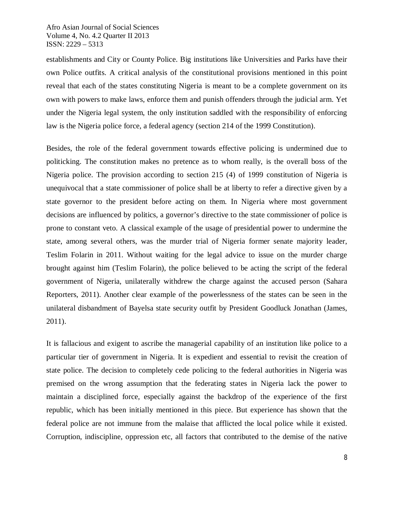establishments and City or County Police. Big institutions like Universities and Parks have their own Police outfits. A critical analysis of the constitutional provisions mentioned in this point reveal that each of the states constituting Nigeria is meant to be a complete government on its own with powers to make laws, enforce them and punish offenders through the judicial arm. Yet under the Nigeria legal system, the only institution saddled with the responsibility of enforcing law is the Nigeria police force, a federal agency (section 214 of the 1999 Constitution).

Besides, the role of the federal government towards effective policing is undermined due to politicking. The constitution makes no pretence as to whom really, is the overall boss of the Nigeria police. The provision according to section 215 (4) of 1999 constitution of Nigeria is unequivocal that a state commissioner of police shall be at liberty to refer a directive given by a state governor to the president before acting on them. In Nigeria where most government decisions are influenced by politics, a governor's directive to the state commissioner of police is prone to constant veto. A classical example of the usage of presidential power to undermine the state, among several others, was the murder trial of Nigeria former senate majority leader, Teslim Folarin in 2011. Without waiting for the legal advice to issue on the murder charge brought against him (Teslim Folarin), the police believed to be acting the script of the federal government of Nigeria, unilaterally withdrew the charge against the accused person (Sahara Reporters, 2011). Another clear example of the powerlessness of the states can be seen in the unilateral disbandment of Bayelsa state security outfit by President Goodluck Jonathan (James, 2011).

It is fallacious and exigent to ascribe the managerial capability of an institution like police to a particular tier of government in Nigeria. It is expedient and essential to revisit the creation of state police. The decision to completely cede policing to the federal authorities in Nigeria was premised on the wrong assumption that the federating states in Nigeria lack the power to maintain a disciplined force, especially against the backdrop of the experience of the first republic, which has been initially mentioned in this piece. But experience has shown that the federal police are not immune from the malaise that afflicted the local police while it existed. Corruption, indiscipline, oppression etc, all factors that contributed to the demise of the native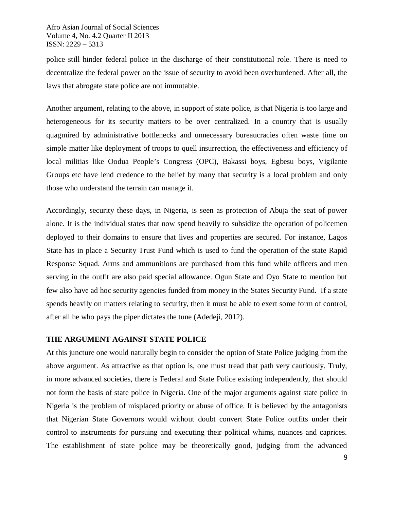police still hinder federal police in the discharge of their constitutional role. There is need to decentralize the federal power on the issue of security to avoid been overburdened. After all, the laws that abrogate state police are not immutable.

Another argument, relating to the above, in support of state police, is that Nigeria is too large and heterogeneous for its security matters to be over centralized. In a country that is usually quagmired by administrative bottlenecks and unnecessary bureaucracies often waste time on simple matter like deployment of troops to quell insurrection, the effectiveness and efficiency of local militias like Oodua People's Congress (OPC), Bakassi boys, Egbesu boys, Vigilante Groups etc have lend credence to the belief by many that security is a local problem and only those who understand the terrain can manage it.

Accordingly, security these days, in Nigeria, is seen as protection of Abuja the seat of power alone. It is the individual states that now spend heavily to subsidize the operation of policemen deployed to their domains to ensure that lives and properties are secured. For instance, Lagos State has in place a Security Trust Fund which is used to fund the operation of the state Rapid Response Squad. Arms and ammunitions are purchased from this fund while officers and men serving in the outfit are also paid special allowance. Ogun State and Oyo State to mention but few also have ad hoc security agencies funded from money in the States Security Fund. If a state spends heavily on matters relating to security, then it must be able to exert some form of control, after all he who pays the piper dictates the tune (Adedeji, 2012).

## **THE ARGUMENT AGAINST STATE POLICE**

At this juncture one would naturally begin to consider the option of State Police judging from the above argument. As attractive as that option is, one must tread that path very cautiously. Truly, in more advanced societies, there is Federal and State Police existing independently, that should not form the basis of state police in Nigeria. One of the major arguments against state police in Nigeria is the problem of misplaced priority or abuse of office. It is believed by the antagonists that Nigerian State Governors would without doubt convert State Police outfits under their control to instruments for pursuing and executing their political whims, nuances and caprices. The establishment of state police may be theoretically good, judging from the advanced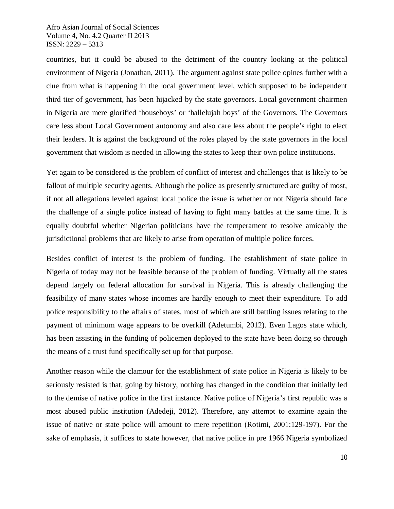countries, but it could be abused to the detriment of the country looking at the political environment of Nigeria (Jonathan, 2011). The argument against state police opines further with a clue from what is happening in the local government level, which supposed to be independent third tier of government, has been hijacked by the state governors. Local government chairmen in Nigeria are mere glorified 'houseboys' or 'hallelujah boys' of the Governors. The Governors care less about Local Government autonomy and also care less about the people's right to elect their leaders. It is against the background of the roles played by the state governors in the local government that wisdom is needed in allowing the states to keep their own police institutions.

Yet again to be considered is the problem of conflict of interest and challenges that is likely to be fallout of multiple security agents. Although the police as presently structured are guilty of most, if not all allegations leveled against local police the issue is whether or not Nigeria should face the challenge of a single police instead of having to fight many battles at the same time. It is equally doubtful whether Nigerian politicians have the temperament to resolve amicably the jurisdictional problems that are likely to arise from operation of multiple police forces.

Besides conflict of interest is the problem of funding. The establishment of state police in Nigeria of today may not be feasible because of the problem of funding. Virtually all the states depend largely on federal allocation for survival in Nigeria. This is already challenging the feasibility of many states whose incomes are hardly enough to meet their expenditure. To add police responsibility to the affairs of states, most of which are still battling issues relating to the payment of minimum wage appears to be overkill (Adetumbi, 2012). Even Lagos state which, has been assisting in the funding of policemen deployed to the state have been doing so through the means of a trust fund specifically set up for that purpose.

Another reason while the clamour for the establishment of state police in Nigeria is likely to be seriously resisted is that, going by history, nothing has changed in the condition that initially led to the demise of native police in the first instance. Native police of Nigeria's first republic was a most abused public institution (Adedeji, 2012). Therefore, any attempt to examine again the issue of native or state police will amount to mere repetition (Rotimi, 2001:129-197). For the sake of emphasis, it suffices to state however, that native police in pre 1966 Nigeria symbolized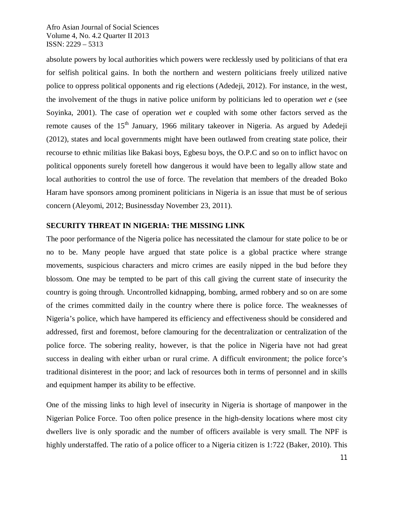absolute powers by local authorities which powers were recklessly used by politicians of that era for selfish political gains. In both the northern and western politicians freely utilized native police to oppress political opponents and rig elections (Adedeji, 2012). For instance, in the west, the involvement of the thugs in native police uniform by politicians led to operation *wet e* (see Soyinka, 2001). The case of operation *wet e* coupled with some other factors served as the remote causes of the  $15<sup>th</sup>$  January, 1966 military takeover in Nigeria. As argued by Adedeji (2012), states and local governments might have been outlawed from creating state police, their recourse to ethnic militias like Bakasi boys, Egbesu boys, the O.P.C and so on to inflict havoc on political opponents surely foretell how dangerous it would have been to legally allow state and local authorities to control the use of force. The revelation that members of the dreaded Boko Haram have sponsors among prominent politicians in Nigeria is an issue that must be of serious concern (Aleyomi, 2012; Businessday November 23, 2011).

## **SECURITY THREAT IN NIGERIA: THE MISSING LINK**

The poor performance of the Nigeria police has necessitated the clamour for state police to be or no to be. Many people have argued that state police is a global practice where strange movements, suspicious characters and micro crimes are easily nipped in the bud before they blossom. One may be tempted to be part of this call giving the current state of insecurity the country is going through. Uncontrolled kidnapping, bombing, armed robbery and so on are some of the crimes committed daily in the country where there is police force. The weaknesses of Nigeria's police, which have hampered its efficiency and effectiveness should be considered and addressed, first and foremost, before clamouring for the decentralization or centralization of the police force. The sobering reality, however, is that the police in Nigeria have not had great success in dealing with either urban or rural crime. A difficult environment; the police force's traditional disinterest in the poor; and lack of resources both in terms of personnel and in skills and equipment hamper its ability to be effective.

One of the missing links to high level of insecurity in Nigeria is shortage of manpower in the Nigerian Police Force. Too often police presence in the high-density locations where most city dwellers live is only sporadic and the number of officers available is very small. The NPF is highly understaffed. The ratio of a police officer to a Nigeria citizen is 1:722 (Baker, 2010). This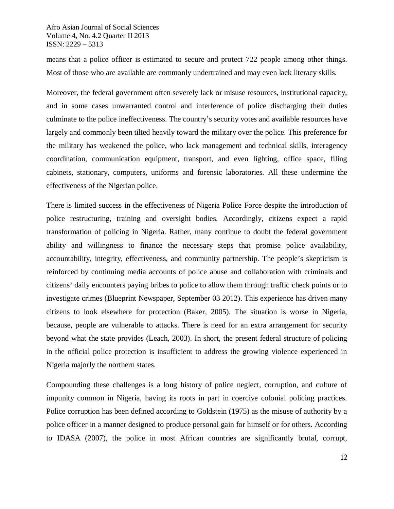means that a police officer is estimated to secure and protect 722 people among other things. Most of those who are available are commonly undertrained and may even lack literacy skills.

Moreover, the federal government often severely lack or misuse resources, institutional capacity, and in some cases unwarranted control and interference of police discharging their duties culminate to the police ineffectiveness. The country's security votes and available resources have largely and commonly been tilted heavily toward the military over the police. This preference for the military has weakened the police, who lack management and technical skills, interagency coordination, communication equipment, transport, and even lighting, office space, filing cabinets, stationary, computers, uniforms and forensic laboratories. All these undermine the effectiveness of the Nigerian police.

There is limited success in the effectiveness of Nigeria Police Force despite the introduction of police restructuring, training and oversight bodies. Accordingly, citizens expect a rapid transformation of policing in Nigeria. Rather, many continue to doubt the federal government ability and willingness to finance the necessary steps that promise police availability, accountability, integrity, effectiveness, and community partnership. The people's skepticism is reinforced by continuing media accounts of police abuse and collaboration with criminals and citizens' daily encounters paying bribes to police to allow them through traffic check points or to investigate crimes (Blueprint Newspaper, September 03 2012). This experience has driven many citizens to look elsewhere for protection (Baker, 2005). The situation is worse in Nigeria, because, people are vulnerable to attacks. There is need for an extra arrangement for security beyond what the state provides (Leach, 2003). In short, the present federal structure of policing in the official police protection is insufficient to address the growing violence experienced in Nigeria majorly the northern states.

Compounding these challenges is a long history of police neglect, corruption, and culture of impunity common in Nigeria, having its roots in part in coercive colonial policing practices. Police corruption has been defined according to Goldstein (1975) as the misuse of authority by a police officer in a manner designed to produce personal gain for himself or for others. According to IDASA (2007), the police in most African countries are significantly brutal, corrupt,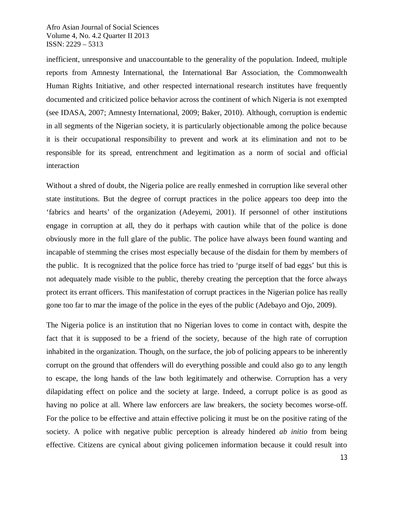inefficient, unresponsive and unaccountable to the generality of the population. Indeed, multiple reports from Amnesty International, the International Bar Association, the Commonwealth Human Rights Initiative, and other respected international research institutes have frequently documented and criticized police behavior across the continent of which Nigeria is not exempted (see IDASA, 2007; Amnesty International, 2009; Baker, 2010). Although, corruption is endemic in all segments of the Nigerian society, it is particularly objectionable among the police because it is their occupational responsibility to prevent and work at its elimination and not to be responsible for its spread, entrenchment and legitimation as a norm of social and official interaction

Without a shred of doubt, the Nigeria police are really enmeshed in corruption like several other state institutions. But the degree of corrupt practices in the police appears too deep into the 'fabrics and hearts' of the organization (Adeyemi, 2001). If personnel of other institutions engage in corruption at all, they do it perhaps with caution while that of the police is done obviously more in the full glare of the public. The police have always been found wanting and incapable of stemming the crises most especially because of the disdain for them by members of the public. It is recognized that the police force has tried to 'purge itself of bad eggs' but this is not adequately made visible to the public, thereby creating the perception that the force always protect its errant officers. This manifestation of corrupt practices in the Nigerian police has really gone too far to mar the image of the police in the eyes of the public (Adebayo and Ojo, 2009).

The Nigeria police is an institution that no Nigerian loves to come in contact with, despite the fact that it is supposed to be a friend of the society, because of the high rate of corruption inhabited in the organization. Though, on the surface, the job of policing appears to be inherently corrupt on the ground that offenders will do everything possible and could also go to any length to escape, the long hands of the law both legitimately and otherwise. Corruption has a very dilapidating effect on police and the society at large. Indeed, a corrupt police is as good as having no police at all. Where law enforcers are law breakers, the society becomes worse-off. For the police to be effective and attain effective policing it must be on the positive rating of the society. A police with negative public perception is already hindered *ab initio* from being effective. Citizens are cynical about giving policemen information because it could result into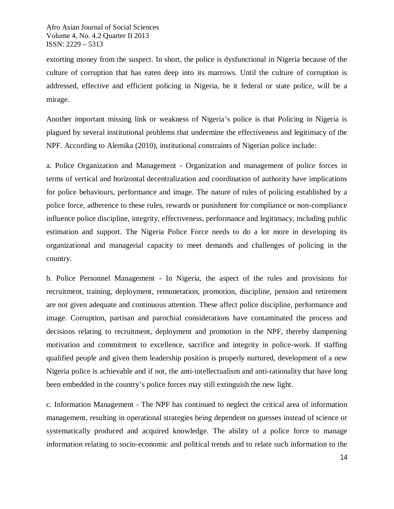extorting money from the suspect. In short, the police is dysfunctional in Nigeria because of the culture of corruption that has eaten deep into its marrows. Until the culture of corruption is addressed, effective and efficient policing in Nigeria, be it federal or state police, will be a mirage.

Another important missing link or weakness of Nigeria's police is that Policing in Nigeria is plagued by several institutional problems that undermine the effectiveness and legitimacy of the NPF. According to Alemika (2010), institutional constraints of Nigerian police include:

a. Police Organization and Management - Organization and management of police forces in terms of vertical and horizontal decentralization and coordination of authority have implications for police behaviours, performance and image. The nature of rules of policing established by a police force, adherence to these rules, rewards or punishment for compliance or non-compliance influence police discipline, integrity, effectiveness, performance and legitimacy, including public estimation and support. The Nigeria Police Force needs to do a lot more in developing its organizational and managerial capacity to meet demands and challenges of policing in the country.

b. Police Personnel Management - In Nigeria, the aspect of the rules and provisions for recruitment, training, deployment, remuneration, promotion, discipline, pension and retirement are not given adequate and continuous attention. These affect police discipline, performance and image. Corruption, partisan and parochial considerations have contaminated the process and decisions relating to recruitment, deployment and promotion in the NPF, thereby dampening motivation and commitment to excellence, sacrifice and integrity in police-work. If staffing qualified people and given them leadership position is properly nurtured, development of a new Nigeria police is achievable and if not, the anti-intellectualism and anti-rationality that have long been embedded in the country's police forces may still extinguish the new light.

c. Information Management - The NPF has continued to neglect the critical area of information management, resulting in operational strategies being dependent on guesses instead of science or systematically produced and acquired knowledge. The ability of a police force to manage information relating to socio-economic and political trends and to relate such information to the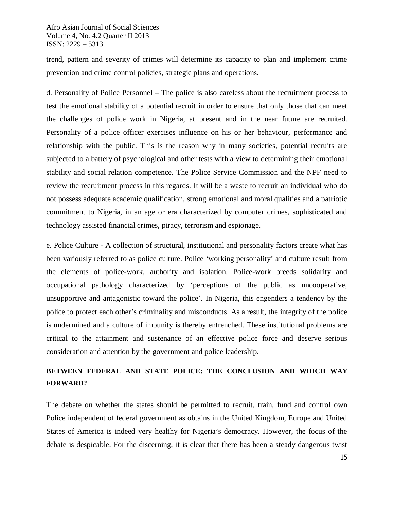trend, pattern and severity of crimes will determine its capacity to plan and implement crime prevention and crime control policies, strategic plans and operations.

d. Personality of Police Personnel – The police is also careless about the recruitment process to test the emotional stability of a potential recruit in order to ensure that only those that can meet the challenges of police work in Nigeria, at present and in the near future are recruited. Personality of a police officer exercises influence on his or her behaviour, performance and relationship with the public. This is the reason why in many societies, potential recruits are subjected to a battery of psychological and other tests with a view to determining their emotional stability and social relation competence. The Police Service Commission and the NPF need to review the recruitment process in this regards. It will be a waste to recruit an individual who do not possess adequate academic qualification, strong emotional and moral qualities and a patriotic commitment to Nigeria, in an age or era characterized by computer crimes, sophisticated and technology assisted financial crimes, piracy, terrorism and espionage.

e. Police Culture - A collection of structural, institutional and personality factors create what has been variously referred to as police culture. Police 'working personality' and culture result from the elements of police-work, authority and isolation. Police-work breeds solidarity and occupational pathology characterized by 'perceptions of the public as uncooperative, unsupportive and antagonistic toward the police'. In Nigeria, this engenders a tendency by the police to protect each other's criminality and misconducts. As a result, the integrity of the police is undermined and a culture of impunity is thereby entrenched. These institutional problems are critical to the attainment and sustenance of an effective police force and deserve serious consideration and attention by the government and police leadership.

# **BETWEEN FEDERAL AND STATE POLICE: THE CONCLUSION AND WHICH WAY FORWARD?**

The debate on whether the states should be permitted to recruit, train, fund and control own Police independent of federal government as obtains in the United Kingdom, Europe and United States of America is indeed very healthy for Nigeria's democracy. However, the focus of the debate is despicable. For the discerning, it is clear that there has been a steady dangerous twist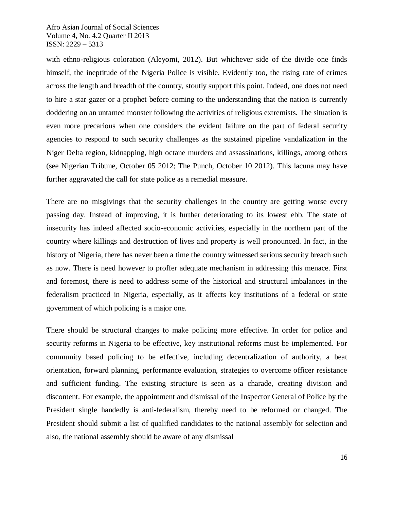with ethno-religious coloration (Aleyomi, 2012). But whichever side of the divide one finds himself, the ineptitude of the Nigeria Police is visible. Evidently too, the rising rate of crimes across the length and breadth of the country, stoutly support this point. Indeed, one does not need to hire a star gazer or a prophet before coming to the understanding that the nation is currently doddering on an untamed monster following the activities of religious extremists. The situation is even more precarious when one considers the evident failure on the part of federal security agencies to respond to such security challenges as the sustained pipeline vandalization in the Niger Delta region, kidnapping, high octane murders and assassinations, killings, among others (see Nigerian Tribune, October 05 2012; The Punch, October 10 2012). This lacuna may have further aggravated the call for state police as a remedial measure.

There are no misgivings that the security challenges in the country are getting worse every passing day. Instead of improving, it is further deteriorating to its lowest ebb. The state of insecurity has indeed affected socio-economic activities, especially in the northern part of the country where killings and destruction of lives and property is well pronounced. In fact, in the history of Nigeria, there has never been a time the country witnessed serious security breach such as now. There is need however to proffer adequate mechanism in addressing this menace. First and foremost, there is need to address some of the historical and structural imbalances in the federalism practiced in Nigeria, especially, as it affects key institutions of a federal or state government of which policing is a major one.

There should be structural changes to make policing more effective. In order for police and security reforms in Nigeria to be effective, key institutional reforms must be implemented. For community based policing to be effective, including decentralization of authority, a beat orientation, forward planning, performance evaluation, strategies to overcome officer resistance and sufficient funding. The existing structure is seen as a charade, creating division and discontent. For example, the appointment and dismissal of the Inspector General of Police by the President single handedly is anti-federalism, thereby need to be reformed or changed. The President should submit a list of qualified candidates to the national assembly for selection and also, the national assembly should be aware of any dismissal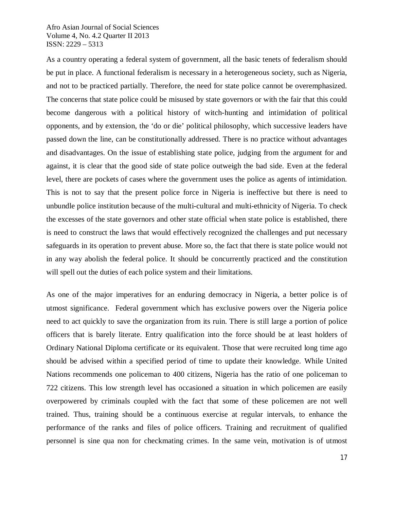As a country operating a federal system of government, all the basic tenets of federalism should be put in place. A functional federalism is necessary in a heterogeneous society, such as Nigeria, and not to be practiced partially. Therefore, the need for state police cannot be overemphasized. The concerns that state police could be misused by state governors or with the fair that this could become dangerous with a political history of witch-hunting and intimidation of political opponents, and by extension, the 'do or die' political philosophy, which successive leaders have passed down the line, can be constitutionally addressed. There is no practice without advantages and disadvantages. On the issue of establishing state police, judging from the argument for and against, it is clear that the good side of state police outweigh the bad side. Even at the federal level, there are pockets of cases where the government uses the police as agents of intimidation. This is not to say that the present police force in Nigeria is ineffective but there is need to unbundle police institution because of the multi-cultural and multi-ethnicity of Nigeria. To check the excesses of the state governors and other state official when state police is established, there is need to construct the laws that would effectively recognized the challenges and put necessary safeguards in its operation to prevent abuse. More so, the fact that there is state police would not in any way abolish the federal police. It should be concurrently practiced and the constitution will spell out the duties of each police system and their limitations.

As one of the major imperatives for an enduring democracy in Nigeria, a better police is of utmost significance. Federal government which has exclusive powers over the Nigeria police need to act quickly to save the organization from its ruin. There is still large a portion of police officers that is barely literate. Entry qualification into the force should be at least holders of Ordinary National Diploma certificate or its equivalent. Those that were recruited long time ago should be advised within a specified period of time to update their knowledge. While United Nations recommends one policeman to 400 citizens, Nigeria has the ratio of one policeman to 722 citizens. This low strength level has occasioned a situation in which policemen are easily overpowered by criminals coupled with the fact that some of these policemen are not well trained. Thus, training should be a continuous exercise at regular intervals, to enhance the performance of the ranks and files of police officers. Training and recruitment of qualified personnel is sine qua non for checkmating crimes. In the same vein, motivation is of utmost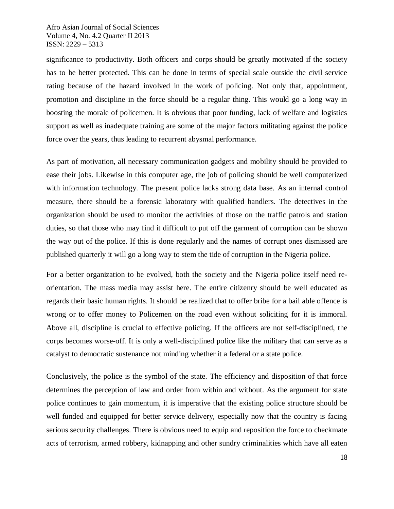significance to productivity. Both officers and corps should be greatly motivated if the society has to be better protected. This can be done in terms of special scale outside the civil service rating because of the hazard involved in the work of policing. Not only that, appointment, promotion and discipline in the force should be a regular thing. This would go a long way in boosting the morale of policemen. It is obvious that poor funding, lack of welfare and logistics support as well as inadequate training are some of the major factors militating against the police force over the years, thus leading to recurrent abysmal performance.

As part of motivation, all necessary communication gadgets and mobility should be provided to ease their jobs. Likewise in this computer age, the job of policing should be well computerized with information technology. The present police lacks strong data base. As an internal control measure, there should be a forensic laboratory with qualified handlers. The detectives in the organization should be used to monitor the activities of those on the traffic patrols and station duties, so that those who may find it difficult to put off the garment of corruption can be shown the way out of the police. If this is done regularly and the names of corrupt ones dismissed are published quarterly it will go a long way to stem the tide of corruption in the Nigeria police.

For a better organization to be evolved, both the society and the Nigeria police itself need reorientation. The mass media may assist here. The entire citizenry should be well educated as regards their basic human rights. It should be realized that to offer bribe for a bail able offence is wrong or to offer money to Policemen on the road even without soliciting for it is immoral. Above all, discipline is crucial to effective policing. If the officers are not self-disciplined, the corps becomes worse-off. It is only a well-disciplined police like the military that can serve as a catalyst to democratic sustenance not minding whether it a federal or a state police.

Conclusively, the police is the symbol of the state. The efficiency and disposition of that force determines the perception of law and order from within and without. As the argument for state police continues to gain momentum, it is imperative that the existing police structure should be well funded and equipped for better service delivery, especially now that the country is facing serious security challenges. There is obvious need to equip and reposition the force to checkmate acts of terrorism, armed robbery, kidnapping and other sundry criminalities which have all eaten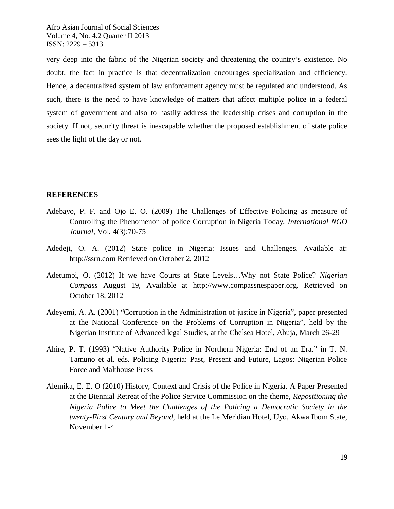very deep into the fabric of the Nigerian society and threatening the country's existence. No doubt, the fact in practice is that decentralization encourages specialization and efficiency. Hence, a decentralized system of law enforcement agency must be regulated and understood. As such, there is the need to have knowledge of matters that affect multiple police in a federal system of government and also to hastily address the leadership crises and corruption in the society. If not, security threat is inescapable whether the proposed establishment of state police sees the light of the day or not.

## **REFERENCES**

- Adebayo, P. F. and Ojo E. O. (2009) The Challenges of Effective Policing as measure of Controlling the Phenomenon of police Corruption in Nigeria Today, *International NGO Journal,* Vol. 4(3):70-75
- Adedeji, O. A. (2012) State police in Nigeria: Issues and Challenges. Available at: http://ssrn.com Retrieved on October 2, 2012
- Adetumbi, O. (2012) If we have Courts at State Levels…Why not State Police? *Nigerian Compass* August 19, Available at http://www.compassnespaper.org. Retrieved on October 18, 2012
- Adeyemi, A. A. (2001) "Corruption in the Administration of justice in Nigeria", paper presented at the National Conference on the Problems of Corruption in Nigeria", held by the Nigerian Institute of Advanced legal Studies, at the Chelsea Hotel, Abuja, March 26-29
- Ahire, P. T. (1993) "Native Authority Police in Northern Nigeria: End of an Era." in T. N. Tamuno et al. eds. Policing Nigeria: Past, Present and Future, Lagos: Nigerian Police Force and Malthouse Press
- Alemika, E. E. O (2010) History, Context and Crisis of the Police in Nigeria. A Paper Presented at the Biennial Retreat of the Police Service Commission on the theme, *Repositioning the Nigeria Police to Meet the Challenges of the Policing a Democratic Society in the twenty-First Century and Beyond,* held at the Le Meridian Hotel, Uyo, Akwa Ibom State, November 1-4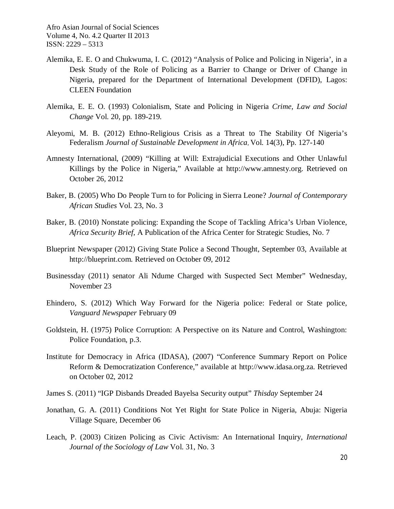- Alemika, E. E. O and Chukwuma, I. C. (2012) "Analysis of Police and Policing in Nigeria', in a Desk Study of the Role of Policing as a Barrier to Change or Driver of Change in Nigeria, prepared for the Department of International Development (DFID), Lagos: CLEEN Foundation
- Alemika, E. E. O. (1993) Colonialism, State and Policing in Nigeria *Crime, Law and Social Change* Vol. 20, pp. 189-219.
- Aleyomi, M. B. (2012) Ethno-Religious Crisis as a Threat to The Stability Of Nigeria's Federalism *Journal of Sustainable Development in Africa*, Vol. 14(3), Pp. 127-140
- Amnesty International, (2009) "Killing at Will: Extrajudicial Executions and Other Unlawful Killings by the Police in Nigeria," Available at http://www.amnesty.org. Retrieved on October 26, 2012
- Baker, B. (2005) Who Do People Turn to for Policing in Sierra Leone? *Journal of Contemporary African Studies* Vol. 23, No. 3
- Baker, B. (2010) Nonstate policing: Expanding the Scope of Tackling Africa's Urban Violence, *Africa Security Brief,* A Publication of the Africa Center for Strategic Studies, No. 7
- Blueprint Newspaper (2012) Giving State Police a Second Thought, September 03, Available at http://blueprint.com. Retrieved on October 09, 2012
- Businessday (2011) senator Ali Ndume Charged with Suspected Sect Member" Wednesday, November 23
- Ehindero, S. (2012) Which Way Forward for the Nigeria police: Federal or State police, *Vanguard Newspaper* February 09
- Goldstein, H. (1975) Police Corruption: A Perspective on its Nature and Control, Washington: Police Foundation, p.3.
- Institute for Democracy in Africa (IDASA), (2007) "Conference Summary Report on Police Reform & Democratization Conference," available at http://www.idasa.org.za. Retrieved on October 02, 2012
- James S. (2011) "IGP Disbands Dreaded Bayelsa Security output" *Thisday* September 24
- Jonathan, G. A. (2011) Conditions Not Yet Right for State Police in Nigeria, Abuja: Nigeria Village Square, December 06
- Leach, P. (2003) Citizen Policing as Civic Activism: An International Inquiry, *International Journal of the Sociology of Law* Vol. 31, No. 3